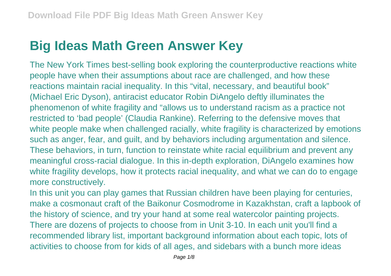## **Big Ideas Math Green Answer Key**

The New York Times best-selling book exploring the counterproductive reactions white people have when their assumptions about race are challenged, and how these reactions maintain racial inequality. In this "vital, necessary, and beautiful book" (Michael Eric Dyson), antiracist educator Robin DiAngelo deftly illuminates the phenomenon of white fragility and "allows us to understand racism as a practice not restricted to 'bad people' (Claudia Rankine). Referring to the defensive moves that white people make when challenged racially, white fragility is characterized by emotions such as anger, fear, and guilt, and by behaviors including argumentation and silence. These behaviors, in turn, function to reinstate white racial equilibrium and prevent any meaningful cross-racial dialogue. In this in-depth exploration, DiAngelo examines how white fragility develops, how it protects racial inequality, and what we can do to engage more constructively.

In this unit you can play games that Russian children have been playing for centuries, make a cosmonaut craft of the Baikonur Cosmodrome in Kazakhstan, craft a lapbook of the history of science, and try your hand at some real watercolor painting projects. There are dozens of projects to choose from in Unit 3-10. In each unit you'll find a recommended library list, important background information about each topic, lots of activities to choose from for kids of all ages, and sidebars with a bunch more ideas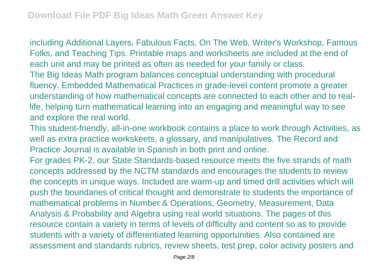including Additional Layers, Fabulous Facts, On The Web, Writer's Workshop, Famous Folks, and Teaching Tips. Printable maps and worksheets are included at the end of each unit and may be printed as often as needed for your family or class. The Big Ideas Math program balances conceptual understanding with procedural fluency. Embedded Mathematical Practices in grade-level content promote a greater understanding of how mathematical concepts are connected to each other and to reallife, helping turn mathematical learning into an engaging and meaningful way to see and explore the real world.

This student-friendly, all-in-one workbook contains a place to work through Activities, as well as extra practice workskeets, a glossary, and manipulatives. The Record and Practice Journal is available in Spanish in both print and online.

For grades PK-2, our State Standards-based resource meets the five strands of math concepts addressed by the NCTM standards and encourages the students to review the concepts in unique ways. Included are warm-up and timed drill activities which will push the boundaries of critical thought and demonstrate to students the importance of mathematical problems in Number & Operations, Geometry, Measurement, Data Analysis & Probability and Algebra using real world situations. The pages of this resource contain a variety in terms of levels of difficulty and content so as to provide students with a variety of differentiated learning opportunities. Also contained are assessment and standards rubrics, review sheets, test prep, color activity posters and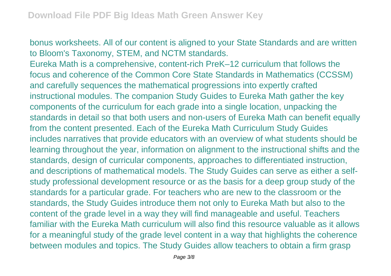bonus worksheets. All of our content is aligned to your State Standards and are written to Bloom's Taxonomy, STEM, and NCTM standards.

Eureka Math is a comprehensive, content-rich PreK–12 curriculum that follows the focus and coherence of the Common Core State Standards in Mathematics (CCSSM) and carefully sequences the mathematical progressions into expertly crafted instructional modules. The companion Study Guides to Eureka Math gather the key components of the curriculum for each grade into a single location, unpacking the standards in detail so that both users and non-users of Eureka Math can benefit equally from the content presented. Each of the Eureka Math Curriculum Study Guides includes narratives that provide educators with an overview of what students should be learning throughout the year, information on alignment to the instructional shifts and the standards, design of curricular components, approaches to differentiated instruction, and descriptions of mathematical models. The Study Guides can serve as either a selfstudy professional development resource or as the basis for a deep group study of the standards for a particular grade. For teachers who are new to the classroom or the standards, the Study Guides introduce them not only to Eureka Math but also to the content of the grade level in a way they will find manageable and useful. Teachers familiar with the Eureka Math curriculum will also find this resource valuable as it allows for a meaningful study of the grade level content in a way that highlights the coherence between modules and topics. The Study Guides allow teachers to obtain a firm grasp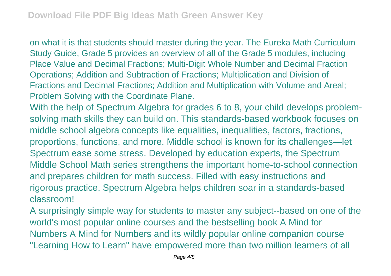on what it is that students should master during the year. The Eureka Math Curriculum Study Guide, Grade 5 provides an overview of all of the Grade 5 modules, including Place Value and Decimal Fractions; Multi-Digit Whole Number and Decimal Fraction Operations; Addition and Subtraction of Fractions; Multiplication and Division of Fractions and Decimal Fractions; Addition and Multiplication with Volume and Areal; Problem Solving with the Coordinate Plane.

With the help of Spectrum Algebra for grades 6 to 8, your child develops problemsolving math skills they can build on. This standards-based workbook focuses on middle school algebra concepts like equalities, inequalities, factors, fractions, proportions, functions, and more. Middle school is known for its challenges—let Spectrum ease some stress. Developed by education experts, the Spectrum Middle School Math series strengthens the important home-to-school connection and prepares children for math success. Filled with easy instructions and rigorous practice, Spectrum Algebra helps children soar in a standards-based classroom!

A surprisingly simple way for students to master any subject--based on one of the world's most popular online courses and the bestselling book A Mind for Numbers A Mind for Numbers and its wildly popular online companion course "Learning How to Learn" have empowered more than two million learners of all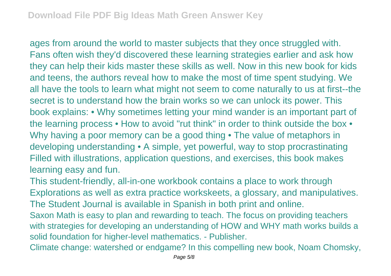ages from around the world to master subjects that they once struggled with. Fans often wish they'd discovered these learning strategies earlier and ask how they can help their kids master these skills as well. Now in this new book for kids and teens, the authors reveal how to make the most of time spent studying. We all have the tools to learn what might not seem to come naturally to us at first--the secret is to understand how the brain works so we can unlock its power. This book explains: • Why sometimes letting your mind wander is an important part of the learning process • How to avoid "rut think" in order to think outside the box • Why having a poor memory can be a good thing • The value of metaphors in developing understanding • A simple, yet powerful, way to stop procrastinating Filled with illustrations, application questions, and exercises, this book makes learning easy and fun.

This student-friendly, all-in-one workbook contains a place to work through Explorations as well as extra practice workskeets, a glossary, and manipulatives. The Student Journal is available in Spanish in both print and online.

Saxon Math is easy to plan and rewarding to teach. The focus on providing teachers with strategies for developing an understanding of HOW and WHY math works builds a solid foundation for higher-level mathematics. - Publisher.

Climate change: watershed or endgame? In this compelling new book, Noam Chomsky,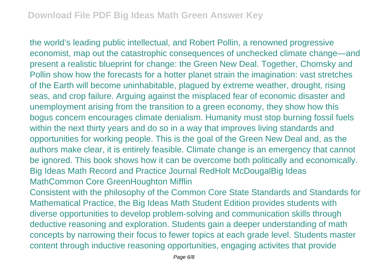the world's leading public intellectual, and Robert Pollin, a renowned progressive economist, map out the catastrophic consequences of unchecked climate change—and present a realistic blueprint for change: the Green New Deal. Together, Chomsky and Pollin show how the forecasts for a hotter planet strain the imagination: vast stretches of the Earth will become uninhabitable, plagued by extreme weather, drought, rising seas, and crop failure. Arguing against the misplaced fear of economic disaster and unemployment arising from the transition to a green economy, they show how this bogus concern encourages climate denialism. Humanity must stop burning fossil fuels within the next thirty years and do so in a way that improves living standards and opportunities for working people. This is the goal of the Green New Deal and, as the authors make clear, it is entirely feasible. Climate change is an emergency that cannot be ignored. This book shows how it can be overcome both politically and economically. Big Ideas Math Record and Practice Journal RedHolt McDougalBig Ideas MathCommon Core GreenHoughton Mifflin

Consistent with the philosophy of the Common Core State Standards and Standards for Mathematical Practice, the Big Ideas Math Student Edition provides students with diverse opportunities to develop problem-solving and communication skills through deductive reasoning and exploration. Students gain a deeper understanding of math concepts by narrowing their focus to fewer topics at each grade level. Students master content through inductive reasoning opportunities, engaging activites that provide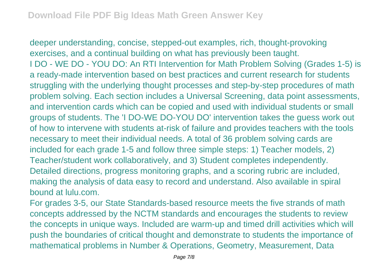deeper understanding, concise, stepped-out examples, rich, thought-provoking exercises, and a continual building on what has previously been taught. I DO - WE DO - YOU DO: An RTI Intervention for Math Problem Solving (Grades 1-5) is a ready-made intervention based on best practices and current research for students struggling with the underlying thought processes and step-by-step procedures of math problem solving. Each section includes a Universal Screening, data point assessments, and intervention cards which can be copied and used with individual students or small groups of students. The 'I DO-WE DO-YOU DO' intervention takes the guess work out of how to intervene with students at-risk of failure and provides teachers with the tools necessary to meet their individual needs. A total of 36 problem solving cards are included for each grade 1-5 and follow three simple steps: 1) Teacher models, 2) Teacher/student work collaboratively, and 3) Student completes independently. Detailed directions, progress monitoring graphs, and a scoring rubric are included, making the analysis of data easy to record and understand. Also available in spiral bound at lulu.com.

For grades 3-5, our State Standards-based resource meets the five strands of math concepts addressed by the NCTM standards and encourages the students to review the concepts in unique ways. Included are warm-up and timed drill activities which will push the boundaries of critical thought and demonstrate to students the importance of mathematical problems in Number & Operations, Geometry, Measurement, Data